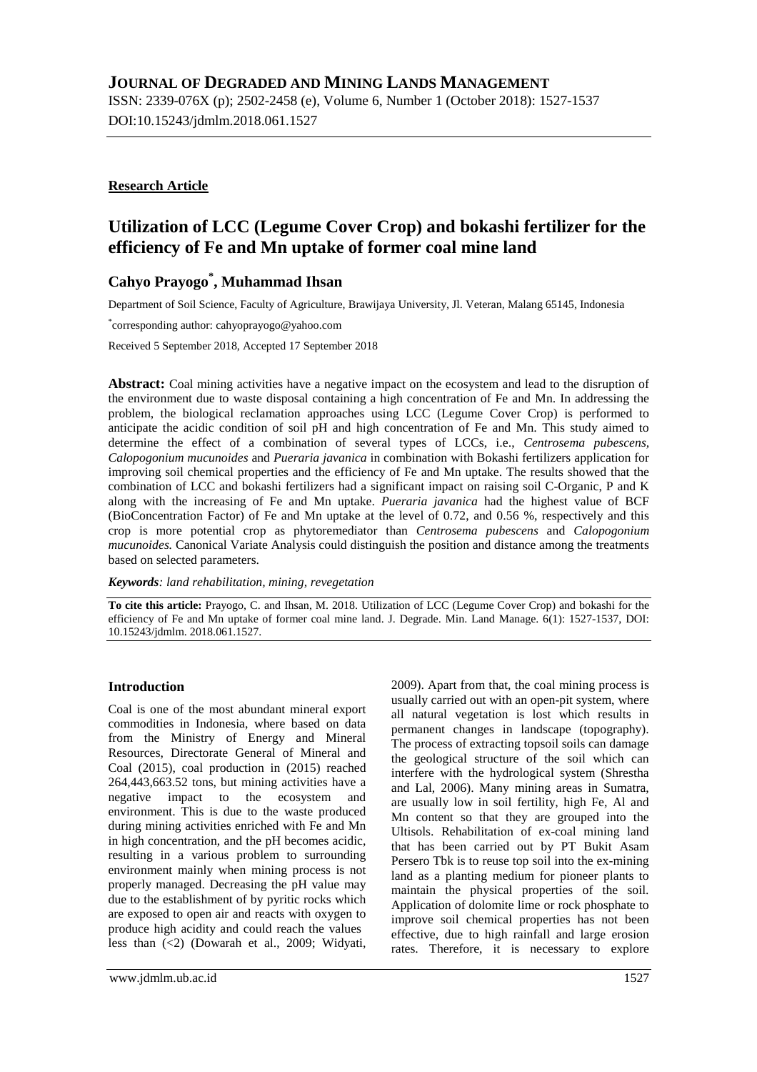## **JOURNAL OF DEGRADED AND MINING LANDS MANAGEMENT**

ISSN: 2339-076X (p); 2502-2458 (e), Volume 6, Number 1 (October 2018): 1527-1537 DOI:10.15243/jdmlm.2018.061.1527

#### **Research Article**

# **Utilization of LCC (Legume Cover Crop) and bokashi fertilizer for the efficiency of Fe and Mn uptake of former coal mine land**

## **Cahyo Prayogo\* , Muhammad Ihsan**

Department of Soil Science, Faculty of Agriculture, Brawijaya University, Jl. Veteran, Malang 65145, Indonesia

\* corresponding author: cahyoprayogo@yahoo.com

Received 5 September 2018, Accepted 17 September 2018

**Abstract:** Coal mining activities have a negative impact on the ecosystem and lead to the disruption of the environment due to waste disposal containing a high concentration of Fe and Mn. In addressing the problem, the biological reclamation approaches using LCC (Legume Cover Crop) is performed to anticipate the acidic condition of soil pH and high concentration of Fe and Mn. This study aimed to determine the effect of a combination of several types of LCCs, i.e., *Centrosema pubescens, Calopogonium mucunoides* and *Pueraria javanica* in combination with Bokashi fertilizers application for improving soil chemical properties and the efficiency of Fe and Mn uptake. The results showed that the combination of LCC and bokashi fertilizers had a significant impact on raising soil C-Organic, P and K along with the increasing of Fe and Mn uptake. *Pueraria javanica* had the highest value of BCF (BioConcentration Factor) of Fe and Mn uptake at the level of 0.72, and 0.56 %, respectively and this crop is more potential crop as phytoremediator than *Centrosema pubescens* and *Calopogonium mucunoides.* Canonical Variate Analysis could distinguish the position and distance among the treatments based on selected parameters.

*Keywords: land rehabilitation, mining, revegetation*

**To cite this article:** Prayogo, C. and Ihsan, M. 2018. Utilization of LCC (Legume Cover Crop) and bokashi for the efficiency of Fe and Mn uptake of former coal mine land. J. Degrade. Min. Land Manage. 6(1): 1527-1537, DOI: 10.15243/jdmlm. 2018.061.1527.

#### **Introduction**

Coal is one of the most abundant mineral export commodities in Indonesia, where based on data from the Ministry of Energy and Mineral Resources, Directorate General of Mineral and Coal (2015), coal production in (2015) reached 264,443,663.52 tons, but mining activities have a negative impact to the ecosystem and environment. This is due to the waste produced during mining activities enriched with Fe and Mn in high concentration, and the pH becomes acidic, resulting in a various problem to surrounding environment mainly when mining process is not properly managed. Decreasing the pH value may due to the establishment of by pyritic rocks which are exposed to open air and reacts with oxygen to produce high acidity and could reach the values less than (<2) (Dowarah et al., 2009; Widyati,

2009). Apart from that, the coal mining process is usually carried out with an open-pit system, where all natural vegetation is lost which results in permanent changes in landscape (topography). The process of extracting topsoil soils can damage the geological structure of the soil which can interfere with the hydrological system (Shrestha and Lal, 2006). Many mining areas in Sumatra, are usually low in soil fertility, high Fe, Al and Mn content so that they are grouped into the Ultisols. Rehabilitation of ex-coal mining land that has been carried out by PT Bukit Asam Persero Tbk is to reuse top soil into the ex-mining land as a planting medium for pioneer plants to maintain the physical properties of the soil. Application of dolomite lime or rock phosphate to improve soil chemical properties has not been effective, due to high rainfall and large erosion rates. Therefore, it is necessary to explore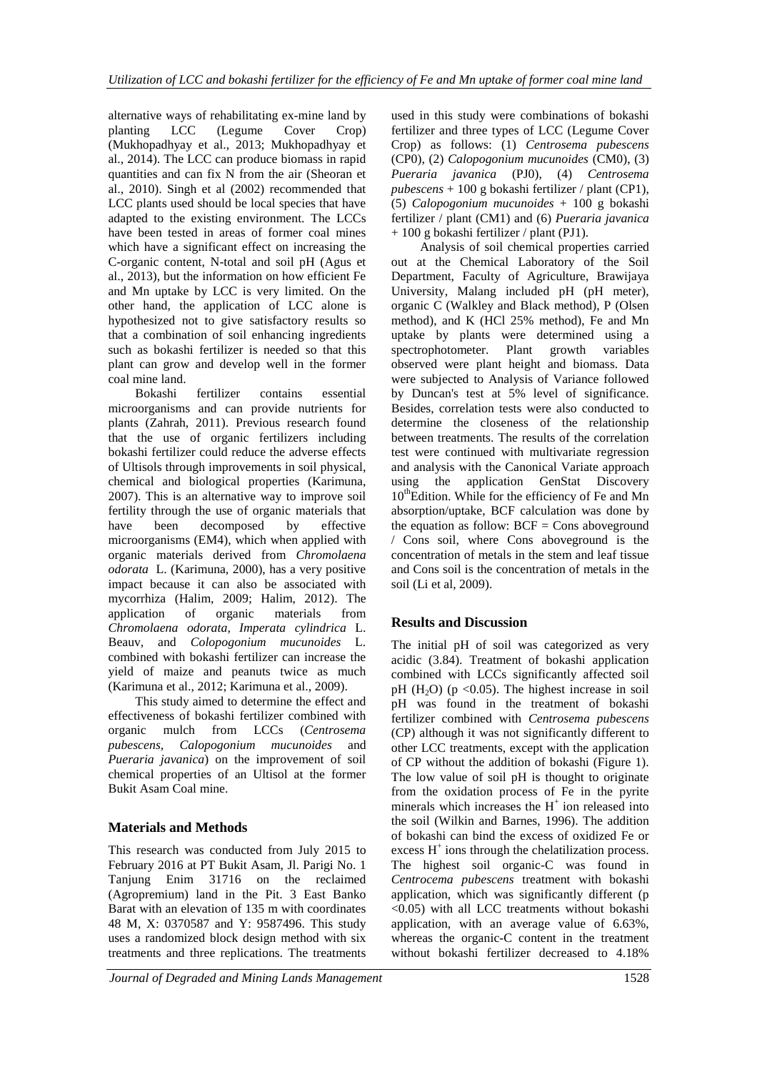alternative ways of rehabilitating ex-mine land by<br>planting LCC (Legume Cover Crop) planting LCC (Legume Cover Crop) (Mukhopadhyay et al., 2013; Mukhopadhyay et al., 2014). The LCC can produce biomass in rapid quantities and can fix N from the air (Sheoran et al., 2010). Singh et al (2002) recommended that LCC plants used should be local species that have adapted to the existing environment. The LCCs have been tested in areas of former coal mines which have a significant effect on increasing the C-organic content, N-total and soil pH (Agus et al., 2013), but the information on how efficient Fe and Mn uptake by LCC is very limited. On the other hand, the application of LCC alone is hypothesized not to give satisfactory results so that a combination of soil enhancing ingredients such as bokashi fertilizer is needed so that this plant can grow and develop well in the former coal mine land.

Bokashi fertilizer contains essential microorganisms and can provide nutrients for plants (Zahrah, 2011). Previous research found that the use of organic fertilizers including bokashi fertilizer could reduce the adverse effects of Ultisols through improvements in soil physical, chemical and biological properties (Karimuna, 2007). This is an alternative way to improve soil fertility through the use of organic materials that have been decomposed by effective microorganisms (EM4), which when applied with organic materials derived from *Chromolaena odorata* L. (Karimuna, 2000), has a very positive impact because it can also be associated with mycorrhiza (Halim, 2009; Halim, 2012). The application of organic materials from *Chromolaena odorata, Imperata cylindrica* L. Beauv*,* and *Colopogonium mucunoides* L. combined with bokashi fertilizer can increase the yield of maize and peanuts twice as much (Karimuna et al., 2012; Karimuna et al., 2009).

This study aimed to determine the effect and effectiveness of bokashi fertilizer combined with organic mulch from LCCs (*Centrosema pubescens, Calopogonium mucunoides* and *Pueraria javanica*) on the improvement of soil chemical properties of an Ultisol at the former Bukit Asam Coal mine.

### **Materials and Methods**

This research was conducted from July 2015 to February 2016 at PT Bukit Asam, Jl. Parigi No. 1 Tanjung Enim 31716 on the reclaimed (Agropremium) land in the Pit. 3 East Banko Barat with an elevation of 135 m with coordinates 48 M, X: 0370587 and Y: 9587496. This study uses a randomized block design method with six treatments and three replications. The treatments

used in this study were combinations of bokashi fertilizer and three types of LCC (Legume Cover Crop) as follows: (1) *Centrosema pubescens* (CP0), (2) *Calopogonium mucunoides* (CM0), (3) *Pueraria javanica* (PJ0), (4) *Centrosema pubescens* + 100 g bokashi fertilizer / plant (CP1), (5) *Calopogonium mucunoides* + 100 g bokashi fertilizer / plant (CM1) and (6) *Pueraria javanica* + 100 g bokashi fertilizer / plant (PJ1).

Analysis of soil chemical properties carried out at the Chemical Laboratory of the Soil Department, Faculty of Agriculture, Brawijaya University, Malang included pH (pH meter), organic C (Walkley and Black method), P (Olsen method), and K (HCl 25% method), Fe and Mn uptake by plants were determined using a spectrophotometer. Plant growth variables observed were plant height and biomass. Data were subjected to Analysis of Variance followed by Duncan's test at 5% level of significance. Besides, correlation tests were also conducted to determine the closeness of the relationship between treatments. The results of the correlation test were continued with multivariate regression and analysis with the Canonical Variate approach using the application GenStat Discovery  $10^{th}$ Edition. While for the efficiency of Fe and Mn absorption/uptake, BCF calculation was done by the equation as follow:  $BCF = Cons$  aboveground / Cons soil, where Cons aboveground is the concentration of metals in the stem and leaf tissue and Cons soil is the concentration of metals in the soil (Li et al, 2009).

### **Results and Discussion**

The initial pH of soil was categorized as very acidic (3.84). Treatment of bokashi application combined with LCCs significantly affected soil pH  $(H<sub>2</sub>O)$  (p < 0.05). The highest increase in soil pH was found in the treatment of bokashi fertilizer combined with *Centrosema pubescens* (CP) although it was not significantly different to other LCC treatments, except with the application of CP without the addition of bokashi (Figure 1). The low value of soil pH is thought to originate from the oxidation process of Fe in the pyrite minerals which increases the  $H^+$  ion released into the soil (Wilkin and Barnes, 1996). The addition of bokashi can bind the excess of oxidized Fe or excess  $H^+$  ions through the chelatilization process. The highest soil organic-C was found in *Centrocema pubescens* treatment with bokashi application, which was significantly different (p <0.05) with all LCC treatments without bokashi application, with an average value of 6.63%, whereas the organic-C content in the treatment without bokashi fertilizer decreased to 4.18%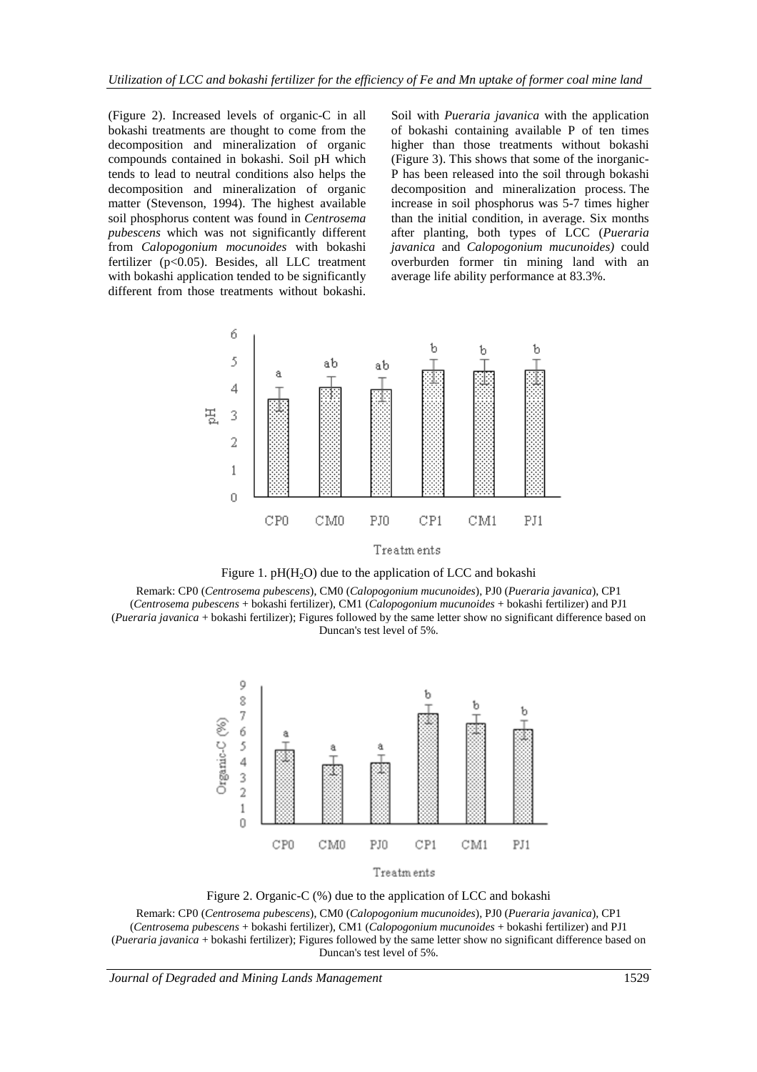(Figure 2). Increased levels of organic-C in all bokashi treatments are thought to come from the decomposition and mineralization of organic compounds contained in bokashi. Soil pH which tends to lead to neutral conditions also helps the decomposition and mineralization of organic matter (Stevenson, 1994). The highest available soil phosphorus content was found in *Centrosema pubescens* which was not significantly different from *Calopogonium mocunoides* with bokashi fertilizer (p<0.05). Besides, all LLC treatment with bokashi application tended to be significantly different from those treatments without bokashi.

Soil with *Pueraria javanica* with the application of bokashi containing available P of ten times higher than those treatments without bokashi (Figure 3). This shows that some of the inorganic-P has been released into the soil through bokashi decomposition and mineralization process. The increase in soil phosphorus was 5-7 times higher than the initial condition, in average. Six months after planting, both types of LCC (*Pueraria javanica* and *Calopogonium mucunoides)* could overburden former tin mining land with an average life ability performance at 83.3%.





Remark: CP0 (*Centrosema pubescens*), CM0 (*Calopogonium mucunoides*), PJ0 (*Pueraria javanica*), CP1 (*Centrosema pubescens* + bokashi fertilizer), CM1 (*Calopogonium mucunoides* + bokashi fertilizer) and PJ1 (*Pueraria javanica* + bokashi fertilizer); Figures followed by the same letter show no significant difference based on Duncan's test level of 5%.



Figure 2. Organic-C (%) due to the application of LCC and bokashi

Remark: CP0 (*Centrosema pubescens*), CM0 (*Calopogonium mucunoides*), PJ0 (*Pueraria javanica*), CP1 (*Centrosema pubescens* + bokashi fertilizer), CM1 (*Calopogonium mucunoides* + bokashi fertilizer) and PJ1 (*Pueraria javanica* + bokashi fertilizer); Figures followed by the same letter show no significant difference based on Duncan's test level of 5%.

*Journal of Degraded and Mining Lands Management* 1529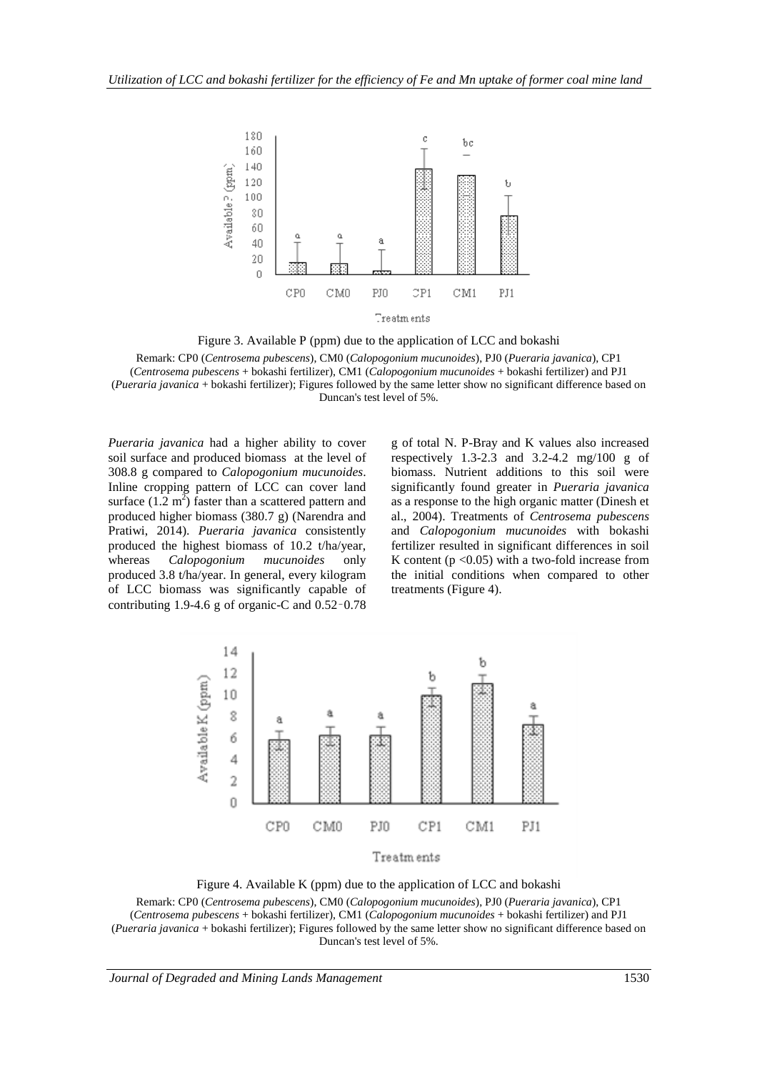

Figure 3. Available P (ppm) due to the application of LCC and bokashi

Remark: CP0 (*Centrosema pubescens*), CM0 (*Calopogonium mucunoides*), PJ0 (*Pueraria javanica*), CP1 (*Centrosema pubescens* + bokashi fertilizer), CM1 (*Calopogonium mucunoides* + bokashi fertilizer) and PJ1 (*Pueraria javanica* + bokashi fertilizer); Figures followed by the same letter show no significant difference based on Duncan's test level of 5%.

*Pueraria javanica* had a higher ability to cover soil surface and produced biomass at the level of 308.8 g compared to *Calopogonium mucunoides*. Inline cropping pattern of LCC can cover land surface  $(1.2 \text{ m}^2)$  faster than a scattered pattern and produced higher biomass (380.7 g) (Narendra and Pratiwi, 2014). *Pueraria javanica* consistently produced the highest biomass of 10.2 t/ha/year, whereas *Calopogonium mucunoides* only produced 3.8 t/ha/year. In general, every kilogram of LCC biomass was significantly capable of contributing 1.9-4.6 g of organic-C and 0.52–0.78

g of total N. P-Bray and K values also increased respectively 1.3-2.3 and 3.2-4.2 mg/100 g of biomass. Nutrient additions to this soil were significantly found greater in *Pueraria javanica* as a response to the high organic matter (Dinesh et al., 2004). Treatments of *Centrosema pubescens* and *Calopogonium mucunoides* with bokashi fertilizer resulted in significant differences in soil K content  $(p < 0.05)$  with a two-fold increase from the initial conditions when compared to other treatments (Figure 4).



Figure 4. Available K (ppm) due to the application of LCC and bokashi

Remark: CP0 (*Centrosema pubescens*), CM0 (*Calopogonium mucunoides*), PJ0 (*Pueraria javanica*), CP1 (*Centrosema pubescens* + bokashi fertilizer), CM1 (*Calopogonium mucunoides* + bokashi fertilizer) and PJ1 (*Pueraria javanica* + bokashi fertilizer); Figures followed by the same letter show no significant difference based on Duncan's test level of 5%.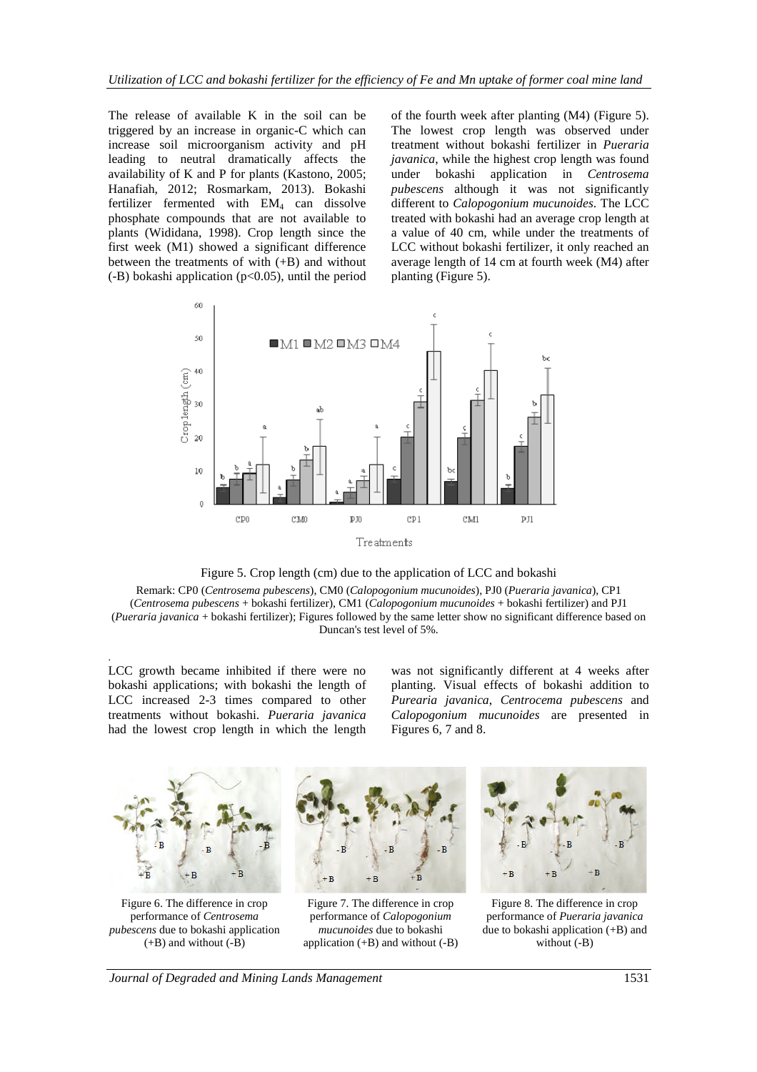The release of available K in the soil can be triggered by an increase in organic-C which can increase soil microorganism activity and pH leading to neutral dramatically affects the availability of K and P for plants (Kastono, 2005; Hanafiah, 2012; Rosmarkam, 2013). Bokashi fertilizer fermented with  $EM<sub>4</sub>$  can dissolve phosphate compounds that are not available to plants (Wididana, 1998). Crop length since the first week (M1) showed a significant difference between the treatments of with (+B) and without  $(-B)$  bokashi application ( $p<0.05$ ), until the period

of the fourth week after planting (M4) (Figure 5). The lowest crop length was observed under treatment without bokashi fertilizer in *Pueraria javanica*, while the highest crop length was found under bokashi application in *Centrosema pubescens* although it was not significantly different to *Calopogonium mucunoides*. The LCC treated with bokashi had an average crop length at a value of 40 cm, while under the treatments of LCC without bokashi fertilizer, it only reached an average length of 14 cm at fourth week (M4) after planting (Figure 5).





Remark: CP0 (*Centrosema pubescens*), CM0 (*Calopogonium mucunoides*), PJ0 (*Pueraria javanica*), CP1 (*Centrosema pubescens* + bokashi fertilizer), CM1 (*Calopogonium mucunoides* + bokashi fertilizer) and PJ1 (*Pueraria javanica* + bokashi fertilizer); Figures followed by the same letter show no significant difference based on Duncan's test level of 5%.

. LCC growth became inhibited if there were no bokashi applications; with bokashi the length of LCC increased 2-3 times compared to other treatments without bokashi. *Pueraria javanica* had the lowest crop length in which the length

was not significantly different at 4 weeks after planting. Visual effects of bokashi addition to *Purearia javanica*, *Centrocema pubescens* and *Calopogonium mucunoides* are presented in Figures 6, 7 and 8.



Figure 6. The difference in crop performance of *Centrosema pubescens* due to bokashi application (+B) and without (-B)



performance of *Pueraria javanica* due to bokashi application (+B) and without (-B)

*Journal of Degraded and Mining Lands Management* 1531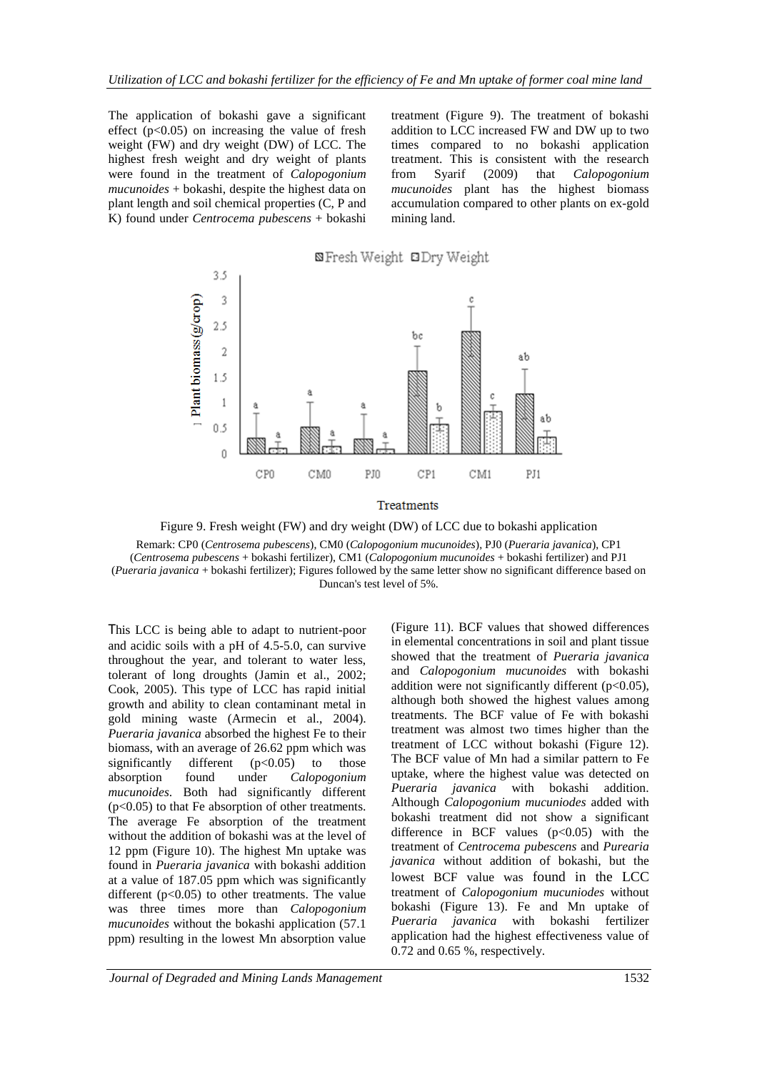The application of bokashi gave a significant effect  $(p<0.05)$  on increasing the value of fresh weight (FW) and dry weight (DW) of LCC. The highest fresh weight and dry weight of plants were found in the treatment of *Calopogonium mucunoides* + bokashi, despite the highest data on plant length and soil chemical properties (C, P and K) found under *Centrocema pubescens* + bokashi

treatment (Figure 9). The treatment of bokashi addition to LCC increased FW and DW up to two times compared to no bokashi application treatment. This is consistent with the research from Syarif (2009) that *Calopogonium mucunoides* plant has the highest biomass accumulation compared to other plants on ex-gold mining land.



Figure 9. Fresh weight (FW) and dry weight (DW) of LCC due to bokashi application Remark: CP0 (*Centrosema pubescens*), CM0 (*Calopogonium mucunoides*), PJ0 (*Pueraria javanica*), CP1 (*Centrosema pubescens* + bokashi fertilizer), CM1 (*Calopogonium mucunoides* + bokashi fertilizer) and PJ1 (*Pueraria javanica* + bokashi fertilizer); Figures followed by the same letter show no significant difference based on Duncan's test level of 5%.

This LCC is being able to adapt to nutrient-poor and acidic soils with a pH of 4.5-5.0, can survive throughout the year, and tolerant to water less, tolerant of long droughts (Jamin et al., 2002; Cook, 2005). This type of LCC has rapid initial growth and ability to clean contaminant metal in gold mining waste (Armecin et al., 2004). *Pueraria javanica* absorbed the highest Fe to their biomass, with an average of 26.62 ppm which was significantly different (p<0.05) to those absorption found under *Calopogonium mucunoides*. Both had significantly different  $(p<0.05)$  to that Fe absorption of other treatments. The average Fe absorption of the treatment without the addition of bokashi was at the level of 12 ppm (Figure 10). The highest Mn uptake was found in *Pueraria javanica* with bokashi addition at a value of 187.05 ppm which was significantly different  $(p<0.05)$  to other treatments. The value was three times more than *Calopogonium mucunoides* without the bokashi application (57.1 ppm) resulting in the lowest Mn absorption value

(Figure 11). BCF values that showed differences in elemental concentrations in soil and plant tissue showed that the treatment of *Pueraria javanica* and *Calopogonium mucunoides* with bokashi addition were not significantly different  $(p<0.05)$ , although both showed the highest values among treatments. The BCF value of Fe with bokashi treatment was almost two times higher than the treatment of LCC without bokashi (Figure 12). The BCF value of Mn had a similar pattern to Fe uptake, where the highest value was detected on *Pueraria javanica* with bokashi addition. Although *Calopogonium mucuniodes* added with bokashi treatment did not show a significant difference in BCF values  $(p<0.05)$  with the treatment of *Centrocema pubescens* and *Purearia javanica* without addition of bokashi, but the lowest BCF value was found in the LCC treatment of *Calopogonium mucuniodes* without bokashi (Figure 13). Fe and Mn uptake of *Pueraria javanica* with bokashi fertilizer application had the highest effectiveness value of 0.72 and 0.65 %, respectively.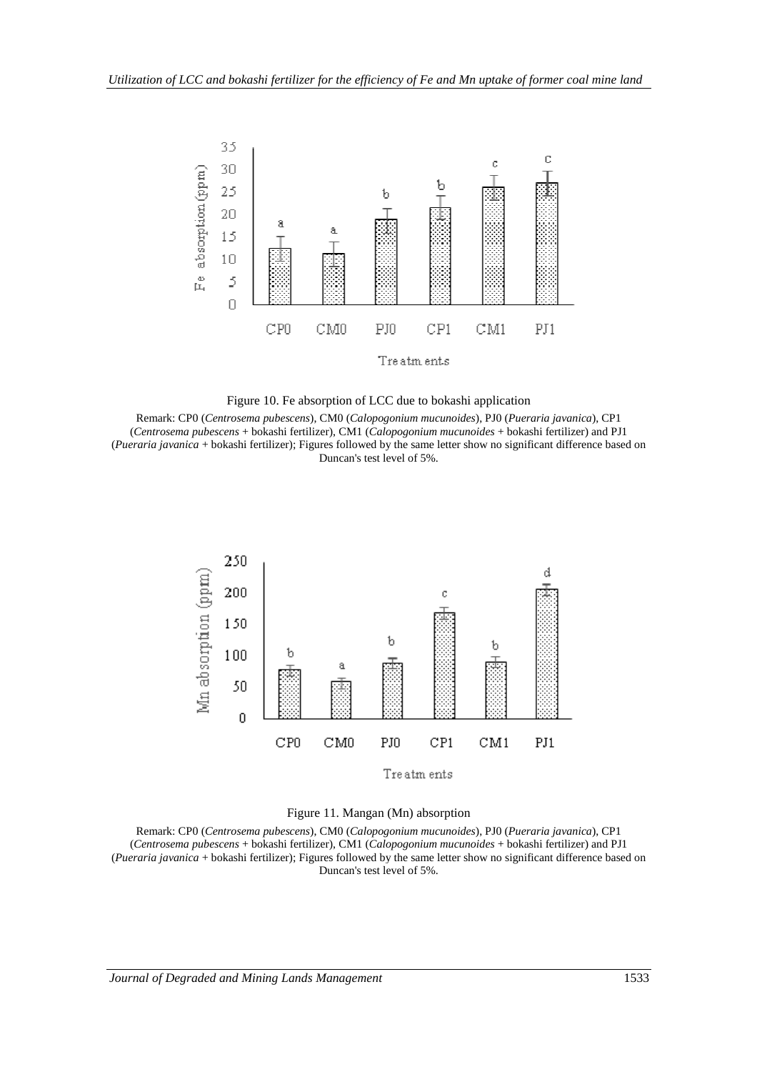



Remark: CP0 (*Centrosema pubescens*), CM0 (*Calopogonium mucunoides*), PJ0 (*Pueraria javanica*), CP1 (*Centrosema pubescens* + bokashi fertilizer), CM1 (*Calopogonium mucunoides* + bokashi fertilizer) and PJ1 (*Pueraria javanica* + bokashi fertilizer); Figures followed by the same letter show no significant difference based on Duncan's test level of 5%.





Remark: CP0 (*Centrosema pubescens*), CM0 (*Calopogonium mucunoides*), PJ0 (*Pueraria javanica*), CP1 (*Centrosema pubescens* + bokashi fertilizer), CM1 (*Calopogonium mucunoides* + bokashi fertilizer) and PJ1 (*Pueraria javanica* + bokashi fertilizer); Figures followed by the same letter show no significant difference based on Duncan's test level of 5%.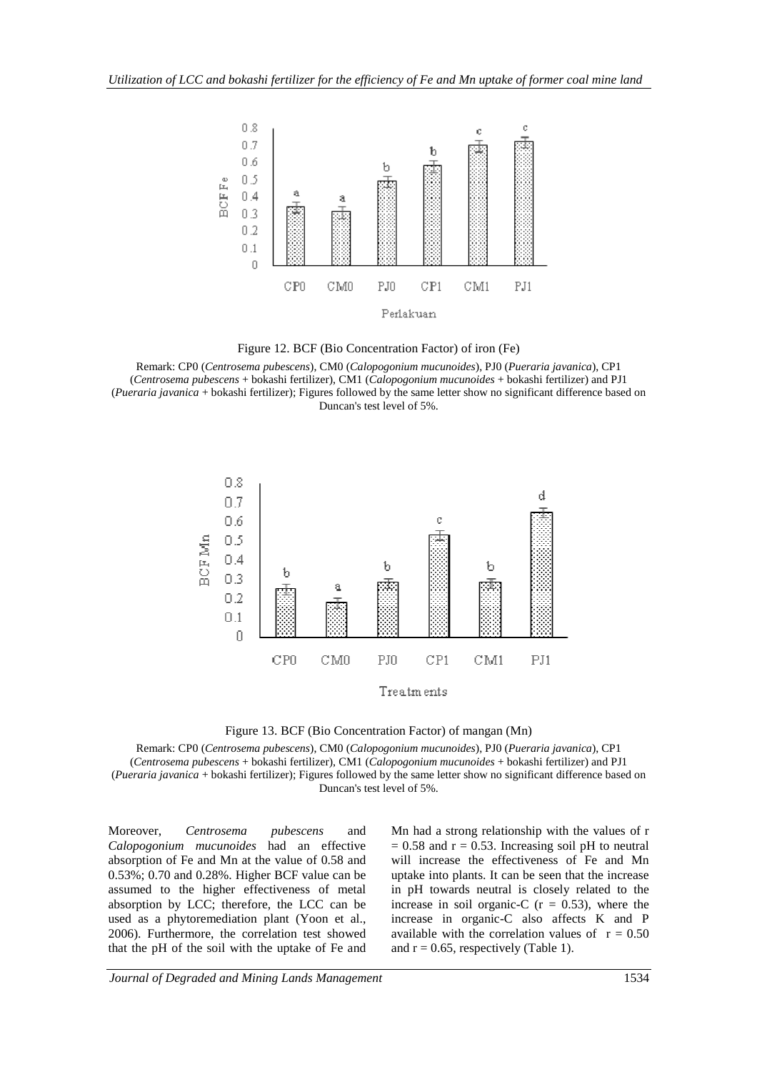

Figure 12. BCF (Bio Concentration Factor) of iron (Fe)

Remark: CP0 (*Centrosema pubescens*), CM0 (*Calopogonium mucunoides*), PJ0 (*Pueraria javanica*), CP1 (*Centrosema pubescens* + bokashi fertilizer), CM1 (*Calopogonium mucunoides* + bokashi fertilizer) and PJ1 (*Pueraria javanica* + bokashi fertilizer); Figures followed by the same letter show no significant difference based on Duncan's test level of 5%.





Remark: CP0 (*Centrosema pubescens*), CM0 (*Calopogonium mucunoides*), PJ0 (*Pueraria javanica*), CP1 (*Centrosema pubescens* + bokashi fertilizer), CM1 (*Calopogonium mucunoides* + bokashi fertilizer) and PJ1 (*Pueraria javanica* + bokashi fertilizer); Figures followed by the same letter show no significant difference based on Duncan's test level of 5%.

Moreover, *Centrosema pubescens* and *Calopogonium mucunoides* had an effective absorption of Fe and Mn at the value of 0.58 and 0.53%; 0.70 and 0.28%. Higher BCF value can be assumed to the higher effectiveness of metal absorption by LCC; therefore, the LCC can be used as a phytoremediation plant (Yoon et al., 2006). Furthermore, the correlation test showed that the pH of the soil with the uptake of Fe and Mn had a strong relationship with the values of r  $= 0.58$  and  $r = 0.53$ . Increasing soil pH to neutral will increase the effectiveness of Fe and Mn uptake into plants. It can be seen that the increase in pH towards neutral is closely related to the increase in soil organic-C  $(r = 0.53)$ , where the increase in organic-C also affects K and P available with the correlation values of  $r = 0.50$ and  $r = 0.65$ , respectively (Table 1).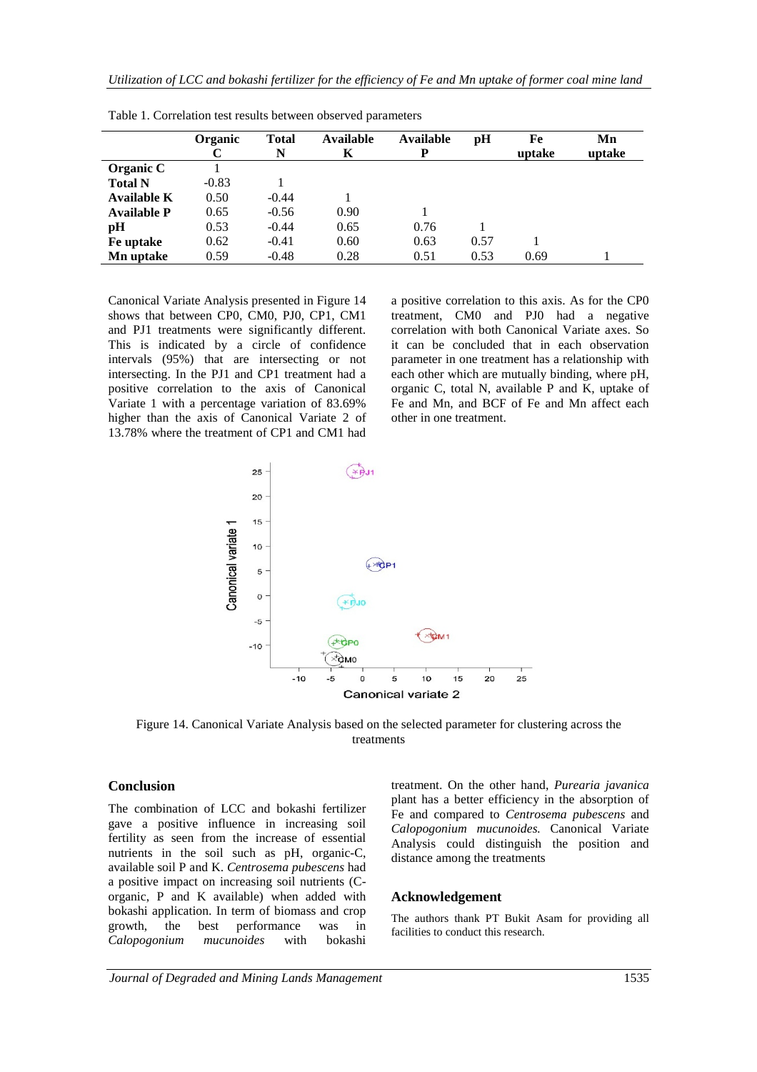|                    | <b>Organic</b> | <b>Total</b><br>N | <b>Available</b><br>K | Available<br>P | pH   | Fe<br>uptake | Mn<br>uptake |
|--------------------|----------------|-------------------|-----------------------|----------------|------|--------------|--------------|
| Organic C          |                |                   |                       |                |      |              |              |
| <b>Total N</b>     | $-0.83$        |                   |                       |                |      |              |              |
| Available K        | 0.50           | $-0.44$           |                       |                |      |              |              |
| <b>Available P</b> | 0.65           | $-0.56$           | 0.90                  |                |      |              |              |
| pН                 | 0.53           | $-0.44$           | 0.65                  | 0.76           |      |              |              |
| Fe uptake          | 0.62           | $-0.41$           | 0.60                  | 0.63           | 0.57 |              |              |
| Mn uptake          | 0.59           | $-0.48$           | 0.28                  | 0.51           | 0.53 | 0.69         |              |

Table 1. Correlation test results between observed parameters

Canonical Variate Analysis presented in Figure 14 shows that between CP0, CM0, PJ0, CP1, CM1 and PJ1 treatments were significantly different. This is indicated by a circle of confidence intervals (95%) that are intersecting or not intersecting. In the PJ1 and CP1 treatment had a positive correlation to the axis of Canonical Variate 1 with a percentage variation of 83.69% higher than the axis of Canonical Variate 2 of 13.78% where the treatment of CP1 and CM1 had

a positive correlation to this axis. As for the CP0 treatment, CM0 and PJ0 had a negative correlation with both Canonical Variate axes. So it can be concluded that in each observation parameter in one treatment has a relationship with each other which are mutually binding, where pH, organic C, total N, available P and K, uptake of Fe and Mn, and BCF of Fe and Mn affect each other in one treatment.



Figure 14. Canonical Variate Analysis based on the selected parameter for clustering across the treatments

#### **Conclusion**

The combination of LCC and bokashi fertilizer gave a positive influence in increasing soil fertility as seen from the increase of essential nutrients in the soil such as pH, organic-C, available soil P and K. *Centrosema pubescens* had a positive impact on increasing soil nutrients (Corganic, P and K available) when added with bokashi application. In term of biomass and crop growth, the best performance was in *Calopogonium mucunoides* with bokashi

treatment. On the other hand, *Purearia javanica* plant has a better efficiency in the absorption of Fe and compared to *Centrosema pubescens* and *Calopogonium mucunoides.* Canonical Variate Analysis could distinguish the position and distance among the treatments

#### **Acknowledgement**

The authors thank PT Bukit Asam for providing all facilities to conduct this research.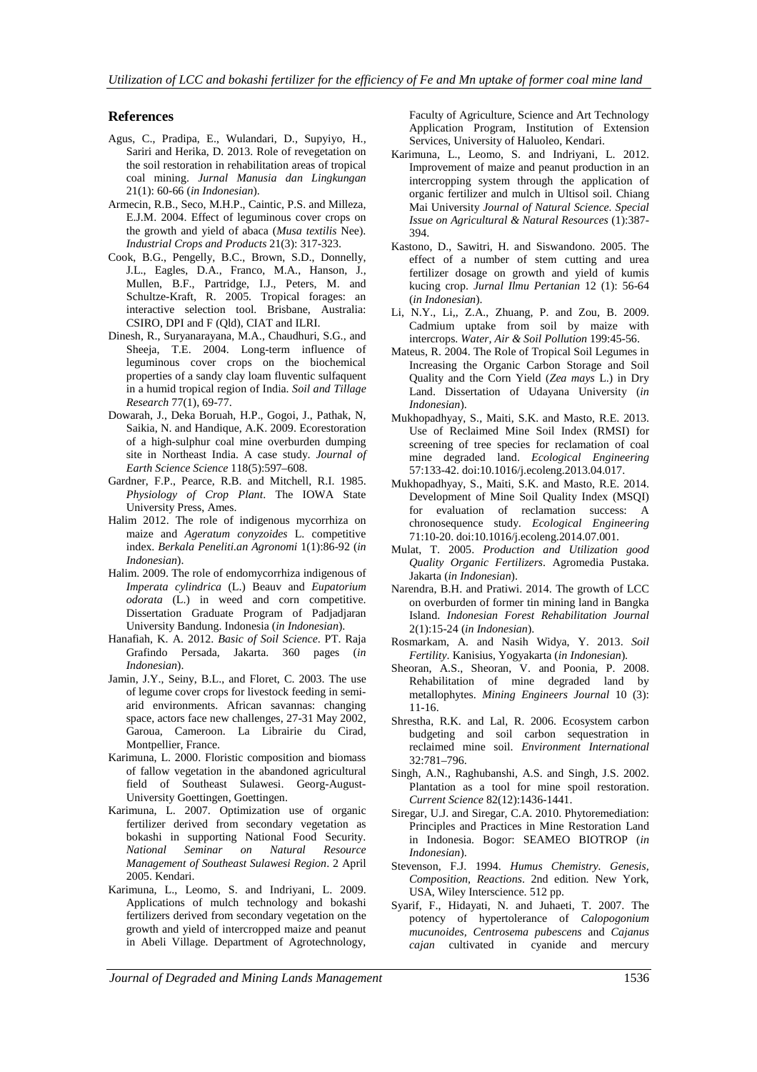#### **References**

- Agus, C., Pradipa, E., Wulandari, D., Supyiyo, H., Sariri and Herika, D. 2013. Role of revegetation on the soil restoration in rehabilitation areas of tropical coal mining. *Jurnal Manusia dan Lingkungan* 21(1): 60-66 (*in Indonesian*).
- Armecin, R.B., Seco, M.H.P., Caintic, P.S. and Milleza, E.J.M. 2004. Effect of leguminous cover crops on the growth and yield of abaca (*Musa textilis* Nee). *Industrial Crops and Products* 21(3): 317-323.
- Cook, B.G., Pengelly, B.C., Brown, S.D., Donnelly, J.L., Eagles, D.A., Franco, M.A., Hanson, J., Mullen, B.F., Partridge, I.J., Peters, M. and Schultze-Kraft, R. 2005. Tropical forages: an interactive selection tool. Brisbane, Australia: CSIRO, DPI and F (Qld), CIAT and ILRI.
- Dinesh, R., Suryanarayana, M.A., Chaudhuri, S.G., and Sheeja, T.E. 2004. Long-term influence of leguminous cover crops on the biochemical properties of a sandy clay loam fluventic sulfaquent in a humid tropical region of India. *Soil and Tillage Research* 77(1), 69-77.
- Dowarah, J., Deka Boruah, H.P., Gogoi, J., Pathak, N, Saikia, N. and Handique, A.K. 2009. Ecorestoration of a high-sulphur coal mine overburden dumping site in Northeast India. A case study. *Journal of Earth Science Science* 118(5):597–608.
- Gardner, F.P., Pearce, R.B. and Mitchell, R.I. 1985. *Physiology of Crop Plant*. The IOWA State University Press, Ames.
- Halim 2012. The role of indigenous mycorrhiza on maize and *Ageratum conyzoides* L. competitive index. *Berkala Peneliti.an Agronomi* 1(1):86-92 (*in Indonesian*).
- Halim. 2009. The role of endomycorrhiza indigenous of *Imperata cylindrica* (L.) Beauv and *Eupatorium odorata* (L.) in weed and corn competitive. Dissertation Graduate Program of Padjadjaran University Bandung. Indonesia (*in Indonesian*).
- Hanafiah, K. A. 2012. *Basic of Soil Science*. PT. Raja Grafindo Persada, Jakarta. 360 pages (*in Indonesian*).
- Jamin, J.Y., Seiny, B.L., and Floret, C. 2003. The use of legume cover crops for livestock feeding in semiarid environments. African savannas: changing space, actors face new challenges, 27-31 May 2002, Garoua, Cameroon. La Librairie du Cirad, Montpellier, France.
- Karimuna, L. 2000. Floristic composition and biomass of fallow vegetation in the abandoned agricultural field of Southeast Sulawesi. Georg-August-University Goettingen, Goettingen.
- Karimuna, L. 2007. Optimization use of organic fertilizer derived from secondary vegetation as bokashi in supporting National Food Security. *National Seminar on Natural Resource Management of Southeast Sulawesi Region*. 2 April 2005. Kendari.
- Karimuna, L., Leomo, S. and Indriyani, L. 2009. Applications of mulch technology and bokashi fertilizers derived from secondary vegetation on the growth and yield of intercropped maize and peanut in Abeli Village. Department of Agrotechnology,

Faculty of Agriculture, Science and Art Technology Application Program, Institution of Extension Services, University of Haluoleo, Kendari.

- Karimuna, L., Leomo, S. and Indriyani, L. 2012. Improvement of maize and peanut production in an intercropping system through the application of organic fertilizer and mulch in Ultisol soil. Chiang Mai University *Journal of Natural Science. Special Issue on Agricultural & Natural Resources* (1):387- 394.
- Kastono, D., Sawitri, H. and Siswandono. 2005. The effect of a number of stem cutting and urea fertilizer dosage on growth and yield of kumis kucing crop. *Jurnal Ilmu Pertanian* 12 (1): 56-64 (*in Indonesian*).
- Li, N.Y., Li,, Z.A., Zhuang, P. and Zou, B. 2009. Cadmium uptake from soil by maize with intercrops. *Water, Air & Soil Pollution* 199:45-56.
- Mateus, R. 2004. The Role of Tropical Soil Legumes in Increasing the Organic Carbon Storage and Soil Quality and the Corn Yield (*Zea mays* L.) in Dry Land. Dissertation of Udayana University (*in Indonesian*).
- Mukhopadhyay, S., Maiti, S.K. and Masto, R.E. 2013. Use of Reclaimed Mine Soil Index (RMSI) for screening of tree species for reclamation of coal mine degraded land. *Ecological Engineering* 57:133-42. doi:10.1016/j.ecoleng.2013.04.017.
- Mukhopadhyay, S., Maiti, S.K. and Masto, R.E. 2014. Development of Mine Soil Quality Index (MSQI) for evaluation of reclamation success: A chronosequence study. *Ecological Engineering* 71:10-20. doi:10.1016/j.ecoleng.2014.07.001.
- Mulat, T. 2005. *Production and Utilization good Quality Organic Fertilizers*. Agromedia Pustaka. Jakarta (*in Indonesian*).
- Narendra, B.H. and Pratiwi. 2014. The growth of LCC on overburden of former tin mining land in Bangka Island. *Indonesian Forest Rehabilitation Journal* 2(1):15-24 (*in Indonesian*).
- Rosmarkam, A. and Nasih Widya, Y. 2013. *Soil Fertility*. Kanisius, Yogyakarta (*in Indonesian*).
- Sheoran, A.S., Sheoran, V. and Poonia, P. 2008. Rehabilitation of mine degraded land by metallophytes. *Mining Engineers Journal* 10 (3): 11-16.
- Shrestha, R.K. and Lal, R. 2006. Ecosystem carbon budgeting and soil carbon sequestration in reclaimed mine soil. *Environment International* 32:781–796.
- Singh, A.N., Raghubanshi, A.S. and Singh, J.S. 2002. Plantation as a tool for mine spoil restoration. *Current Science* 82(12):1436-1441.
- Siregar, U.J. and Siregar, C.A. 2010. Phytoremediation: Principles and Practices in Mine Restoration Land in Indonesia. Bogor: SEAMEO BIOTROP (*in Indonesian*).
- Stevenson, F.J. 1994. *Humus Chemistry. Genesis, Composition, Reactions*. 2nd edition. New York, USA, Wiley Interscience. 512 pp.
- Syarif, F., Hidayati, N. and Juhaeti, T. 2007. The potency of hypertolerance of *Calopogonium mucunoides, Centrosema pubescens* and *Cajanus cajan* cultivated in cyanide and mercury